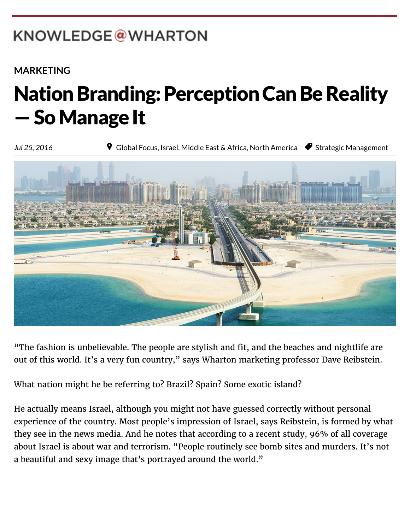# KNOWLEDGE@WHARTON

 $W_{\rm eff}$  which is the Pennsylvanian of  $P_{\rm eff}$ 

### **[MARKETING](http://knowledge.wharton.upenn.edu/topic/marketing/)**

### 繁體中文 Nation Branding: Perception Can Be Reality  $-$  So Manage It

Jul 25, 2016 Register **9** [Global Focus,](http://knowledge.wharton.upenn.edu/region/global-focus/) [Israel,](http://knowledge.wharton.upenn.edu/region/israel/) [Middle East & Africa,](http://knowledge.wharton.upenn.edu/region/middle-east-africa/) [North America](http://knowledge.wharton.upenn.edu/region/north-america/) ● [Strategic Management](http://knowledge.wharton.upenn.edu/category/strategic-management/)

"The fashion is unbelievable. The people are stylish and fit, and the beaches and nightlife are out of this world. It's a very fun country," says Wharton marketing professor Dave Reibstein.

What nation might he be referring to? Brazil? Spain? Some exotic island?

He actually means Israel, although you might not have guessed correctly without personal experience of the country. Most people's impression of Israel, says Reibstein, is formed by what they see in the news media. And he notes that according to a recent study, 96% of all coverage about Israel is about war and terrorism. "People routinely see bomb sites and murders. It's not a beautiful and sexy image that's portrayed around the world."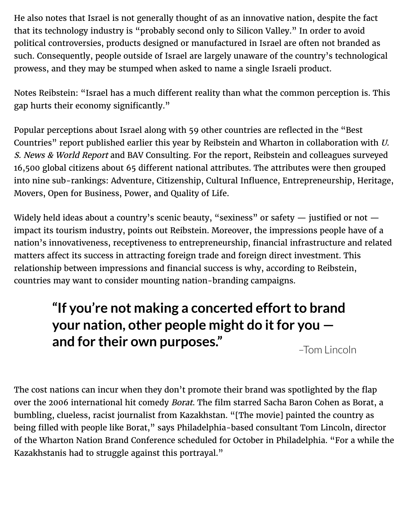He also notes that Israel is not generally thought of as an innovative nation, despite the fact that its technology industry is "probably second only to Silicon Valley." In order to avoid political controversies, products designed or manufactured in Israel are often not branded as such. Consequently, people outside of Israel are largely unaware of the country's technological prowess, and they may be stumped when asked to name a single Israeli product.

Notes Reibstein: "Israel has a much different reality than what the common perception is. This gap hurts their economy significantly."

Popular perceptions about Israel along with 59 other countries are reflected in the "Best Countries" report published earlier this year by Reibstein and Wharton in collaboration with U. S. News & World Report and BAV Consulting. For the report, Reibstein and colleagues surveyed 16,500 global citizens about 65 different national attributes. The attributes were then grouped into nine sub-rankings: Adventure, Citizenship, Cultural Influence, Entrepreneurship, Heritage, Movers, Open for Business, Power, and Quality of Life.

Widely held ideas about a country's scenic beauty, "sexiness" or safety  $-$  justified or not  $$ impact its tourism industry, points out Reibstein. Moreover, the impressions people have of a nation's innovativeness, receptiveness to entrepreneurship, financial infrastructure and related matters affect its success in attracting foreign trade and foreign direct investment. This relationship between impressions and financial success is why, according to Reibstein, countries may want to consider mounting nation-branding campaigns.

## **"If you're not making a concerted effort to brand your nation, other people might do it for you and for their own purposes."**

–Tom Lincoln

The cost nations can incur when they don't promote their brand was spotlighted by the flap over the 2006 international hit comedy *Borat*. The film starred Sacha Baron Cohen as Borat, a bumbling, clueless, racist journalist from Kazakhstan. "[The movie] painted the country as being filled with people like Borat," says Philadelphia-based consultant Tom Lincoln, director of the Wharton Nation Brand Conference scheduled for October in Philadelphia. "For a while the Kazakhstanis had to struggle against this portrayal."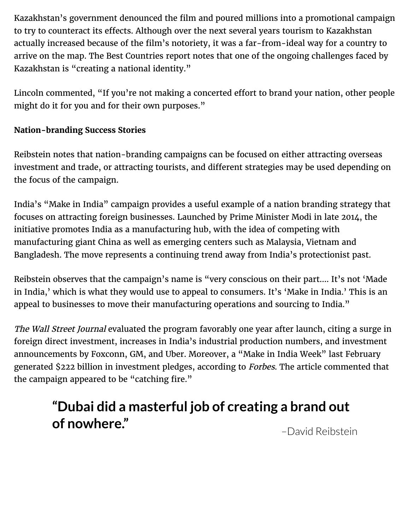Kazakhstan's government denounced the film and poured millions into a promotional campaign to try to counteract its effects. Although over the next several years tourism to Kazakhstan actually increased because of the film's notoriety, it was a far-from-ideal way for a country to arrive on the map. The Best Countries report notes that one of the ongoing challenges faced by Kazakhstan is "creating a national identity."

Lincoln commented, "If you're not making a concerted effort to brand your nation, other people might do it for you and for their own purposes."

#### **Nation-branding Success Stories**

Reibstein notes that nation-branding campaigns can be focused on either attracting overseas investment and trade, or attracting tourists, and different strategies may be used depending on the focus of the campaign.

India's "Make in India" campaign provides a useful example of a nation branding strategy that focuses on attracting foreign businesses. Launched by Prime Minister Modi in late 2014, the initiative promotes India as a manufacturing hub, with the idea of competing with manufacturing giant China as well as emerging centers such as Malaysia, Vietnam and Bangladesh. The move represents a continuing trend away from India's protectionist past.

Reibstein observes that the campaign's name is "very conscious on their part…. It's not 'Made in India,' which is what they would use to appeal to consumers. It's 'Make in India.' This is an appeal to businesses to move their manufacturing operations and sourcing to India."

The Wall Street Journal evaluated the program favorably one year after launch, citing a surge in foreign direct investment, increases in India's industrial production numbers, and investment announcements by Foxconn, GM, and Uber. Moreover, a "Make in India Week" last February generated \$222 billion in investment pledges, according to Forbes. The article commented that the campaign appeared to be "catching fire."

## **"Dubai did a masterful job of creating a brand out of nowhere."**

[–David Reibstein](http://knowledge.wharton.upenn.edu/faculty/reibstein/)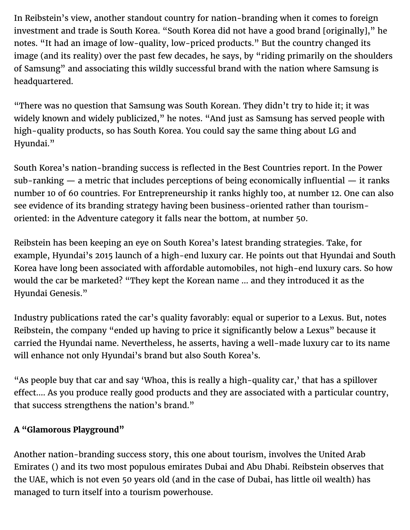In Reibstein's view, another standout country for nation-branding when it comes to foreign investment and trade is South Korea. "South Korea did not have a good brand [originally]," he notes. "It had an image of low-quality, low-priced products." But the country changed its image (and its reality) over the past few decades, he says, by "riding primarily on the shoulders of Samsung" and associating this wildly successful brand with the nation where Samsung is headquartered.

"There was no question that Samsung was South Korean. They didn't try to hide it; it was widely known and widely publicized," he notes. "And just as Samsung has served people with high-quality products, so has South Korea. You could say the same thing about LG and Hyundai."

South Korea's nation-branding success is reflected in the Best Countries report. In the Power sub-ranking — a metric that includes perceptions of being economically influential — it ranks number 10 of 60 countries. For Entrepreneurship it ranks highly too, at number 12. One can also see evidence of its branding strategy having been business-oriented rather than tourismoriented: in the Adventure category it falls near the bottom, at number 50.

Reibstein has been keeping an eye on South Korea's latest branding strategies. Take, for example, Hyundai's 2015 launch of a high-end luxury car. He points out that Hyundai and South Korea have long been associated with affordable automobiles, not high-end luxury cars. So how would the car be marketed? "They kept the Korean name … and they introduced it as the Hyundai Genesis."

Industry publications rated the car's quality favorably: equal or superior to a Lexus. But, notes Reibstein, the company "ended up having to price it significantly below a Lexus" because it carried the Hyundai name. Nevertheless, he asserts, having a well-made luxury car to its name will enhance not only Hyundai's brand but also South Korea's.

"As people buy that car and say 'Whoa, this is really a high-quality car,' that has a spillover effect.... As you produce really good products and they are associated with a particular country, that success strengthens the nation's brand."

#### **A "Glamorous Playground"**

Another nation-branding success story, this one about tourism, involves the United Arab Emirates () and its two most populous emirates Dubai and Abu Dhabi. Reibstein observes that the UAE, which is not even 50 years old (and in the case of Dubai, has little oil wealth) has managed to turn itself into a tourism powerhouse.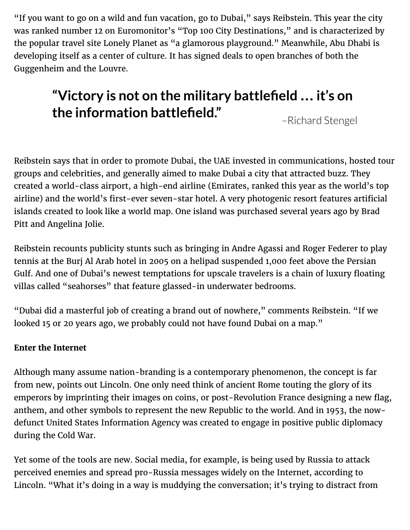"If you want to go on a wild and fun vacation, go to Dubai," says Reibstein. This year the city was ranked number 12 on Euromonitor's "Top 100 City Destinations," and is characterized by the popular travel site Lonely Planet as "a glamorous playground." Meanwhile, Abu Dhabi is developing itself as a center of culture. It has signed deals to open branches of both the Guggenheim and the Louvre.

# **"Victory is not on the military battlefield … it's on the information battlefield."**

–Richard Stengel

Reibstein says that in order to promote Dubai, the UAE invested in communications, hosted tour groups and celebrities, and generally aimed to make Dubai a city that attracted buzz. They created a world-class airport, a high-end airline (Emirates, ranked this year as the world's top airline) and the world's first-ever seven-star hotel. A very photogenic resort features artificial islands created to look like a world map. One island was purchased several years ago by Brad Pitt and Angelina Jolie.

Reibstein recounts publicity stunts such as bringing in Andre Agassi and Roger Federer to play tennis at the Burj Al Arab hotel in 2005 on a helipad suspended 1,000 feet above the Persian Gulf. And one of Dubai's newest temptations for upscale travelers is a chain of luxury floating villas called "seahorses" that feature glassed-in underwater bedrooms.

"Dubai did a masterful job of creating a brand out of nowhere," comments Reibstein. "If we looked 15 or 20 years ago, we probably could not have found Dubai on a map."

#### **Enter the Internet**

Although many assume nation-branding is a contemporary phenomenon, the concept is far from new, points out Lincoln. One only need think of ancient Rome touting the glory of its emperors by imprinting their images on coins, or post-Revolution France designing a new flag, anthem, and other symbols to represent the new Republic to the world. And in 1953, the nowdefunct United States Information Agency was created to engage in positive public diplomacy during the Cold War.

Yet some of the tools are new. Social media, for example, is being used by Russia to attack perceived enemies and spread pro-Russia messages widely on the Internet, according to Lincoln. "What it's doing in a way is muddying the conversation; it's trying to distract from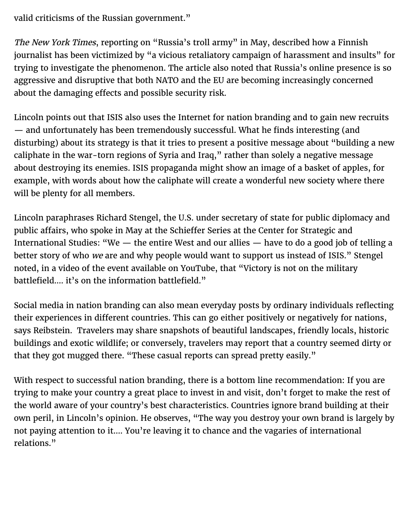valid criticisms of the Russian government."

The New York Times, reporting on "Russia's troll army" in May, described how a Finnish journalist has been victimized by "a vicious retaliatory campaign of harassment and insults" for trying to investigate the phenomenon. The article also noted that Russia's online presence is so aggressive and disruptive that both NATO and the EU are becoming increasingly concerned about the damaging effects and possible security risk.

Lincoln points out that ISIS also uses the Internet for nation branding and to gain new recruits — and unfortunately has been tremendously successful. What he finds interesting (and disturbing) about its strategy is that it tries to present a positive message about "building a new caliphate in the war-torn regions of Syria and Iraq," rather than solely a negative message about destroying its enemies. ISIS propaganda might show an image of a basket of apples, for example, with words about how the caliphate will create a wonderful new society where there will be plenty for all members.

Lincoln paraphrases Richard Stengel, the U.S. under secretary of state for public diplomacy and public affairs, who spoke in May at the Schieffer Series at the Center for Strategic and International Studies: "We — the entire West and our allies — have to do a good job of telling a better story of who we are and why people would want to support us instead of ISIS." Stengel noted, in a video of the event available on YouTube, that "Victory is not on the military battlefield…. it's on the information battlefield."

Social media in nation branding can also mean everyday posts by ordinary individuals reflecting their experiences in different countries. This can go either positively or negatively for nations, says Reibstein. Travelers may share snapshots of beautiful landscapes, friendly locals, historic buildings and exotic wildlife; or conversely, travelers may report that a country seemed dirty or that they got mugged there. "These casual reports can spread pretty easily."

With respect to successful nation branding, there is a bottom line recommendation: If you are trying to make your country a great place to invest in and visit, don't forget to make the rest of the world aware of your country's best characteristics. Countries ignore brand building at their own peril, in Lincoln's opinion. He observes, "The way you destroy your own brand is largely by not paying attention to it…. You're leaving it to chance and the vagaries of international relations."